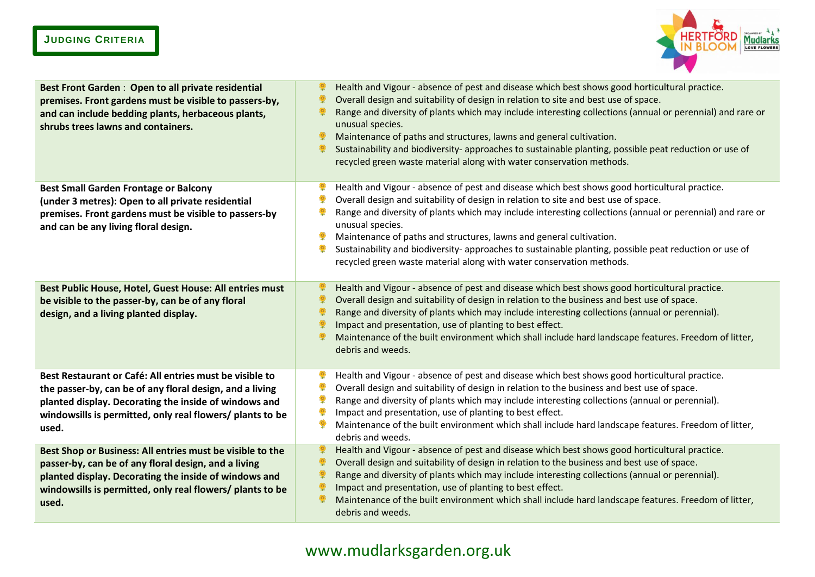## **JUDGING CRITERIA**



| Best Front Garden: Open to all private residential<br>premises. Front gardens must be visible to passers-by,<br>and can include bedding plants, herbaceous plants,<br>shrubs trees lawns and containers.                                           | Health and Vigour - absence of pest and disease which best shows good horticultural practice.<br>Overall design and suitability of design in relation to site and best use of space.<br>Range and diversity of plants which may include interesting collections (annual or perennial) and rare or<br>unusual species.<br>Maintenance of paths and structures, lawns and general cultivation.<br>Sustainability and biodiversity- approaches to sustainable planting, possible peat reduction or use of<br>recycled green waste material along with water conservation methods. |
|----------------------------------------------------------------------------------------------------------------------------------------------------------------------------------------------------------------------------------------------------|--------------------------------------------------------------------------------------------------------------------------------------------------------------------------------------------------------------------------------------------------------------------------------------------------------------------------------------------------------------------------------------------------------------------------------------------------------------------------------------------------------------------------------------------------------------------------------|
| <b>Best Small Garden Frontage or Balcony</b><br>(under 3 metres): Open to all private residential<br>premises. Front gardens must be visible to passers-by<br>and can be any living floral design.                                                 | Health and Vigour - absence of pest and disease which best shows good horticultural practice.<br>Overall design and suitability of design in relation to site and best use of space.<br>Range and diversity of plants which may include interesting collections (annual or perennial) and rare or<br>unusual species.<br>Maintenance of paths and structures, lawns and general cultivation.<br>Sustainability and biodiversity- approaches to sustainable planting, possible peat reduction or use of<br>recycled green waste material along with water conservation methods. |
| Best Public House, Hotel, Guest House: All entries must<br>be visible to the passer-by, can be of any floral<br>design, and a living planted display.                                                                                              | Health and Vigour - absence of pest and disease which best shows good horticultural practice.<br>Overall design and suitability of design in relation to the business and best use of space.<br>Range and diversity of plants which may include interesting collections (annual or perennial).<br>Impact and presentation, use of planting to best effect.<br>Maintenance of the built environment which shall include hard landscape features. Freedom of litter,<br>debris and weeds.                                                                                        |
| Best Restaurant or Café: All entries must be visible to<br>the passer-by, can be of any floral design, and a living<br>planted display. Decorating the inside of windows and<br>windowsills is permitted, only real flowers/ plants to be<br>used. | Health and Vigour - absence of pest and disease which best shows good horticultural practice.<br>Overall design and suitability of design in relation to the business and best use of space.<br>Range and diversity of plants which may include interesting collections (annual or perennial).<br>Impact and presentation, use of planting to best effect.<br>Maintenance of the built environment which shall include hard landscape features. Freedom of litter,<br>debris and weeds.                                                                                        |
| Best Shop or Business: All entries must be visible to the<br>passer-by, can be of any floral design, and a living<br>planted display. Decorating the inside of windows and<br>windowsills is permitted, only real flowers/ plants to be<br>used.   | Health and Vigour - absence of pest and disease which best shows good horticultural practice.<br>Overall design and suitability of design in relation to the business and best use of space.<br>Range and diversity of plants which may include interesting collections (annual or perennial).<br>Impact and presentation, use of planting to best effect.<br>Maintenance of the built environment which shall include hard landscape features. Freedom of litter,<br>debris and weeds.                                                                                        |

## www.mudlarksgarden.org.uk